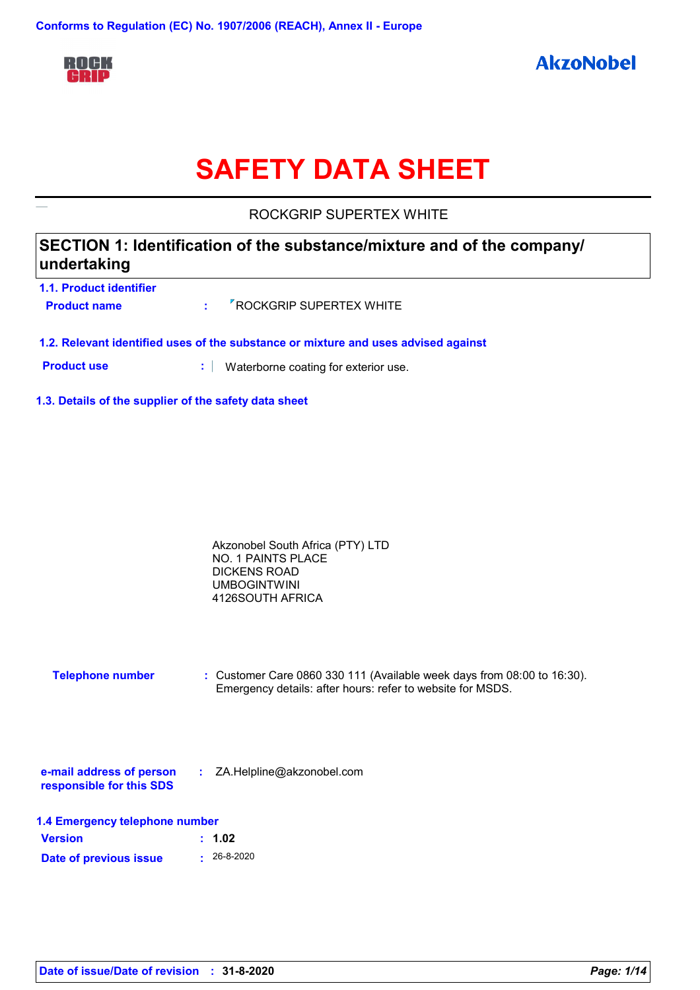

# **SAFETY DATA SHEET**

ROCKGRIP SUPERTEX WHITE

| SECTION 1: Identification of the substance/mixture and of the company/ |  |
|------------------------------------------------------------------------|--|
| undertaking                                                            |  |

| 1.1. Product identifier |                                       |
|-------------------------|---------------------------------------|
| <b>Product name</b>     | $\frac{1}{2}$ ROCKGRIP SUPERTEX WHITE |

- **1.2. Relevant identified uses of the substance or mixture and uses advised against**
- **Product use <b>:** Waterborne coating for exterior use.
- **1.3. Details of the supplier of the safety data sheet**

| Akzonobel South Africa (PTY) LTD |  |
|----------------------------------|--|
| NO. 1 PAINTS PLACE               |  |
| DICKENS ROAD                     |  |
| <b>UMBOGINTWINI</b>              |  |
| 4126SOUTH AFRICA                 |  |

**Telephone number :** Customer Care 0860 330 111 (Available week days from 08:00 to 16:30). Emergency details: after hours: refer to website for MSDS.

| e-mail address of person | ZA.Helpline@akzonobel.com |  |
|--------------------------|---------------------------|--|
| responsible for this SDS |                           |  |

| 1.4 Emergency telephone number |                   |  |  |
|--------------------------------|-------------------|--|--|
| <b>Version</b>                 | : 1.02            |  |  |
| Date of previous issue         | $\cdot$ 26-8-2020 |  |  |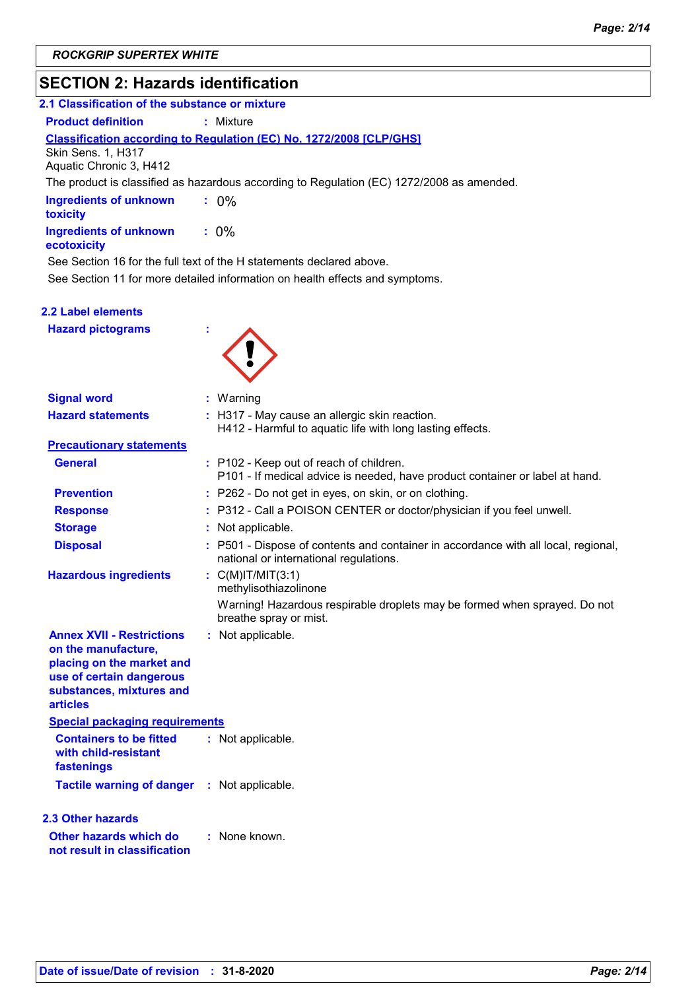# **SECTION 2: Hazards identification**

| 2.1 Classification of the substance or mixture                                                                                                                  |                                                                                                                              |
|-----------------------------------------------------------------------------------------------------------------------------------------------------------------|------------------------------------------------------------------------------------------------------------------------------|
| <b>Product definition</b>                                                                                                                                       | : Mixture                                                                                                                    |
| <b>Skin Sens. 1, H317</b><br>Aquatic Chronic 3, H412                                                                                                            | <b>Classification according to Regulation (EC) No. 1272/2008 [CLP/GHS]</b>                                                   |
|                                                                                                                                                                 | The product is classified as hazardous according to Regulation (EC) 1272/2008 as amended.                                    |
| <b>Ingredients of unknown</b><br>toxicity                                                                                                                       | $: 0\%$                                                                                                                      |
| <b>Ingredients of unknown</b><br>ecotoxicity                                                                                                                    | $: 0\%$                                                                                                                      |
|                                                                                                                                                                 | See Section 16 for the full text of the H statements declared above.                                                         |
|                                                                                                                                                                 | See Section 11 for more detailed information on health effects and symptoms.                                                 |
| 2.2 Label elements                                                                                                                                              |                                                                                                                              |
| <b>Hazard pictograms</b>                                                                                                                                        |                                                                                                                              |
| <b>Signal word</b>                                                                                                                                              | : Warning                                                                                                                    |
| <b>Hazard statements</b>                                                                                                                                        | : H317 - May cause an allergic skin reaction.                                                                                |
|                                                                                                                                                                 | H412 - Harmful to aquatic life with long lasting effects.                                                                    |
| <b>Precautionary statements</b>                                                                                                                                 |                                                                                                                              |
| <b>General</b>                                                                                                                                                  | : P102 - Keep out of reach of children.<br>P101 - If medical advice is needed, have product container or label at hand.      |
| <b>Prevention</b>                                                                                                                                               | : P262 - Do not get in eyes, on skin, or on clothing.                                                                        |
| <b>Response</b>                                                                                                                                                 | : P312 - Call a POISON CENTER or doctor/physician if you feel unwell.                                                        |
| <b>Storage</b>                                                                                                                                                  | : Not applicable.                                                                                                            |
| <b>Disposal</b>                                                                                                                                                 | : P501 - Dispose of contents and container in accordance with all local, regional,<br>national or international regulations. |
| <b>Hazardous ingredients</b>                                                                                                                                    | : $C(M)$ IT/MIT $(3:1)$<br>methylisothiazolinone                                                                             |
|                                                                                                                                                                 | Warning! Hazardous respirable droplets may be formed when sprayed. Do not<br>breathe spray or mist.                          |
| <b>Annex XVII - Restrictions</b><br>on the manufacture,<br>placing on the market and<br>use of certain dangerous<br>substances, mixtures and<br><b>articles</b> | : Not applicable.                                                                                                            |
| <b>Special packaging requirements</b>                                                                                                                           |                                                                                                                              |
| <b>Containers to be fitted</b><br>with child-resistant<br>fastenings                                                                                            | : Not applicable.                                                                                                            |
| <b>Tactile warning of danger</b>                                                                                                                                | : Not applicable.                                                                                                            |
| 2.3 Other hazards                                                                                                                                               |                                                                                                                              |
| Other hazards which do<br>not result in classification                                                                                                          | : None known.                                                                                                                |
|                                                                                                                                                                 |                                                                                                                              |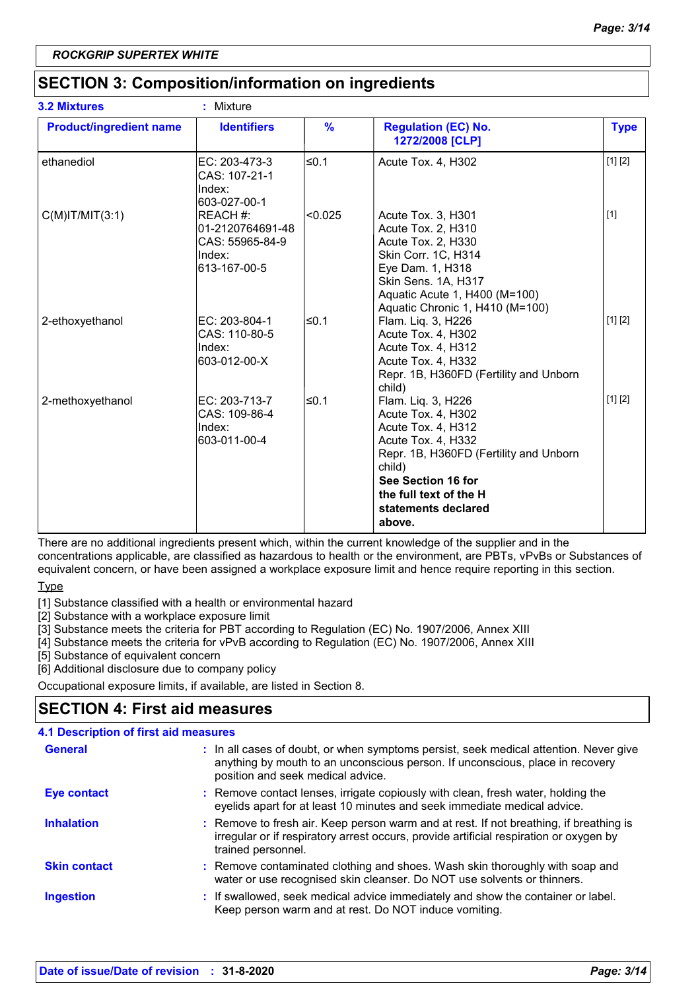## **SECTION 3: Composition/information on ingredients**

| <b>3.2 Mixtures</b>            | Mixture<br>÷.                                                             |               |                                                                                                                                                                                                                           |             |
|--------------------------------|---------------------------------------------------------------------------|---------------|---------------------------------------------------------------------------------------------------------------------------------------------------------------------------------------------------------------------------|-------------|
| <b>Product/ingredient name</b> | <b>Identifiers</b>                                                        | $\frac{9}{6}$ | <b>Regulation (EC) No.</b><br>1272/2008 [CLP]                                                                                                                                                                             | <b>Type</b> |
| ethanediol                     | EC: 203-473-3<br>CAS: 107-21-1<br>Index:<br>603-027-00-1                  | l≤0.1         | Acute Tox. 4, H302                                                                                                                                                                                                        | [1] [2]     |
| $C(M)$ IT/MIT $(3:1)$          | REACH #:<br>01-2120764691-48<br>CAS: 55965-84-9<br>Index:<br>613-167-00-5 | < 0.025       | Acute Tox. 3, H301<br>Acute Tox. 2, H310<br>Acute Tox. 2, H330<br>Skin Corr. 1C, H314<br>Eye Dam. 1, H318<br>Skin Sens. 1A, H317<br>Aquatic Acute 1, H400 (M=100)<br>Aquatic Chronic 1, H410 (M=100)                      | $[1]$       |
| 2-ethoxyethanol                | EC: 203-804-1<br>CAS: 110-80-5<br>Index:<br>603-012-00-X                  | ≤0.1          | Flam. Liq. 3, H226<br>Acute Tox. 4, H302<br>Acute Tox. 4, H312<br>Acute Tox. 4, H332<br>Repr. 1B, H360FD (Fertility and Unborn<br>child)                                                                                  | [1] [2]     |
| 2-methoxyethanol               | EC: 203-713-7<br>CAS: 109-86-4<br>Index:<br>603-011-00-4                  | ≤0.1          | Flam. Liq. 3, H226<br>Acute Tox. 4, H302<br>Acute Tox. 4, H312<br>Acute Tox. 4, H332<br>Repr. 1B, H360FD (Fertility and Unborn<br>child)<br>See Section 16 for<br>the full text of the H<br>statements declared<br>above. | [1] [2]     |

There are no additional ingredients present which, within the current knowledge of the supplier and in the concentrations applicable, are classified as hazardous to health or the environment, are PBTs, vPvBs or Substances of equivalent concern, or have been assigned a workplace exposure limit and hence require reporting in this section.

Type

[1] Substance classified with a health or environmental hazard

[2] Substance with a workplace exposure limit

[3] Substance meets the criteria for PBT according to Regulation (EC) No. 1907/2006, Annex XIII

[4] Substance meets the criteria for vPvB according to Regulation (EC) No. 1907/2006, Annex XIII

[5] Substance of equivalent concern

[6] Additional disclosure due to company policy

Occupational exposure limits, if available, are listed in Section 8.

## **SECTION 4: First aid measures**

| <b>4.1 Description of first aid measures</b> |                                                                                                                                                                                                             |
|----------------------------------------------|-------------------------------------------------------------------------------------------------------------------------------------------------------------------------------------------------------------|
| <b>General</b>                               | : In all cases of doubt, or when symptoms persist, seek medical attention. Never give<br>anything by mouth to an unconscious person. If unconscious, place in recovery<br>position and seek medical advice. |
| <b>Eye contact</b>                           | : Remove contact lenses, irrigate copiously with clean, fresh water, holding the<br>eyelids apart for at least 10 minutes and seek immediate medical advice.                                                |
| <b>Inhalation</b>                            | : Remove to fresh air. Keep person warm and at rest. If not breathing, if breathing is<br>irregular or if respiratory arrest occurs, provide artificial respiration or oxygen by<br>trained personnel.      |
| <b>Skin contact</b>                          | : Remove contaminated clothing and shoes. Wash skin thoroughly with soap and<br>water or use recognised skin cleanser. Do NOT use solvents or thinners.                                                     |
| Ingestion                                    | : If swallowed, seek medical advice immediately and show the container or label.<br>Keep person warm and at rest. Do NOT induce vomiting.                                                                   |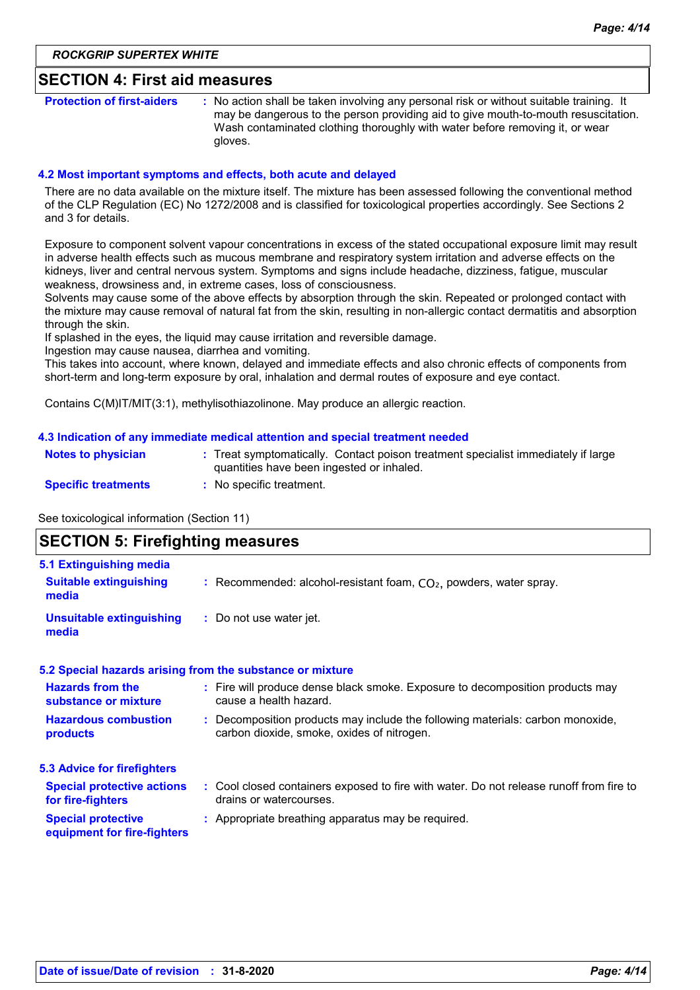#### **SECTION 4: First aid measures**

**Protection of first-aiders** : No action shall be taken involving any personal risk or without suitable training. It may be dangerous to the person providing aid to give mouth-to-mouth resuscitation. Wash contaminated clothing thoroughly with water before removing it, or wear gloves.

#### **4.2 Most important symptoms and effects, both acute and delayed**

There are no data available on the mixture itself. The mixture has been assessed following the conventional method of the CLP Regulation (EC) No 1272/2008 and is classified for toxicological properties accordingly. See Sections 2 and 3 for details.

Exposure to component solvent vapour concentrations in excess of the stated occupational exposure limit may result in adverse health effects such as mucous membrane and respiratory system irritation and adverse effects on the kidneys, liver and central nervous system. Symptoms and signs include headache, dizziness, fatigue, muscular weakness, drowsiness and, in extreme cases, loss of consciousness.

Solvents may cause some of the above effects by absorption through the skin. Repeated or prolonged contact with the mixture may cause removal of natural fat from the skin, resulting in non-allergic contact dermatitis and absorption through the skin.

If splashed in the eyes, the liquid may cause irritation and reversible damage.

Ingestion may cause nausea, diarrhea and vomiting.

This takes into account, where known, delayed and immediate effects and also chronic effects of components from short-term and long-term exposure by oral, inhalation and dermal routes of exposure and eye contact.

Contains C(M)IT/MIT(3:1), methylisothiazolinone. May produce an allergic reaction.

#### **4.3 Indication of any immediate medical attention and special treatment needed**

| <b>Notes to physician</b>  | : Treat symptomatically. Contact poison treatment specialist immediately if large<br>quantities have been ingested or inhaled. |
|----------------------------|--------------------------------------------------------------------------------------------------------------------------------|
| <b>Specific treatments</b> | No specific treatment.                                                                                                         |

See toxicological information (Section 11)

## **SECTION 5: Firefighting measures**

| 5.1 Extinguishing media                                  |                                                                                                                              |
|----------------------------------------------------------|------------------------------------------------------------------------------------------------------------------------------|
| <b>Suitable extinguishing</b><br>media                   | : Recommended: alcohol-resistant foam, $CO2$ , powders, water spray.                                                         |
| <b>Unsuitable extinguishing</b><br>media                 | : Do not use water jet.                                                                                                      |
|                                                          | 5.2 Special hazards arising from the substance or mixture                                                                    |
| <b>Hazards from the</b><br>substance or mixture          | : Fire will produce dense black smoke. Exposure to decomposition products may<br>cause a health hazard.                      |
| <b>Hazardous combustion</b><br>products                  | : Decomposition products may include the following materials: carbon monoxide,<br>carbon dioxide, smoke, oxides of nitrogen. |
| <b>5.3 Advice for firefighters</b>                       |                                                                                                                              |
| <b>Special protective actions</b><br>for fire-fighters   | : Cool closed containers exposed to fire with water. Do not release runoff from fire to<br>drains or watercourses.           |
| <b>Special protective</b><br>equipment for fire-fighters | : Appropriate breathing apparatus may be required.                                                                           |
|                                                          |                                                                                                                              |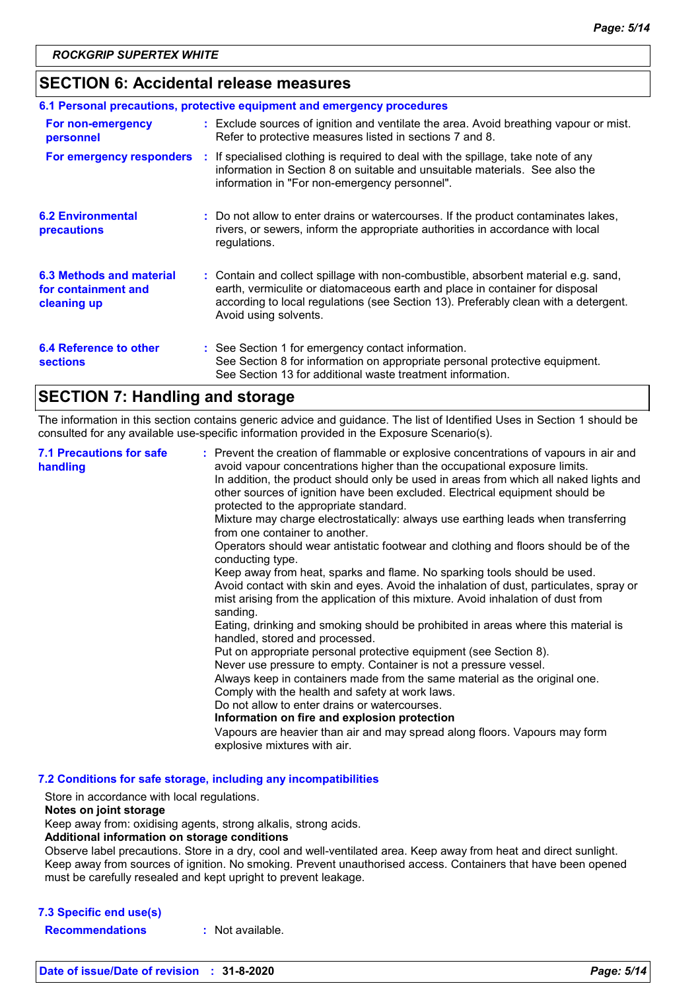### **SECTION 6: Accidental release measures**

| 6.1 Personal precautions, protective equipment and emergency procedures |  |                                                                                                                                                                                                                                                                                    |  |
|-------------------------------------------------------------------------|--|------------------------------------------------------------------------------------------------------------------------------------------------------------------------------------------------------------------------------------------------------------------------------------|--|
| For non-emergency<br>personnel                                          |  | : Exclude sources of ignition and ventilate the area. Avoid breathing vapour or mist.<br>Refer to protective measures listed in sections 7 and 8.                                                                                                                                  |  |
| For emergency responders                                                |  | : If specialised clothing is required to deal with the spillage, take note of any<br>information in Section 8 on suitable and unsuitable materials. See also the<br>information in "For non-emergency personnel".                                                                  |  |
| <b>6.2 Environmental</b><br>precautions                                 |  | : Do not allow to enter drains or watercourses. If the product contaminates lakes,<br>rivers, or sewers, inform the appropriate authorities in accordance with local<br>regulations.                                                                                               |  |
| 6.3 Methods and material<br>for containment and<br>cleaning up          |  | : Contain and collect spillage with non-combustible, absorbent material e.g. sand,<br>earth, vermiculite or diatomaceous earth and place in container for disposal<br>according to local regulations (see Section 13). Preferably clean with a detergent.<br>Avoid using solvents. |  |
| 6.4 Reference to other<br><b>sections</b>                               |  | : See Section 1 for emergency contact information.<br>See Section 8 for information on appropriate personal protective equipment.<br>See Section 13 for additional waste treatment information.                                                                                    |  |

## **SECTION 7: Handling and storage**

The information in this section contains generic advice and guidance. The list of Identified Uses in Section 1 should be consulted for any available use-specific information provided in the Exposure Scenario(s).

| <b>7.1 Precautions for safe</b><br>handling | : Prevent the creation of flammable or explosive concentrations of vapours in air and<br>avoid vapour concentrations higher than the occupational exposure limits.<br>In addition, the product should only be used in areas from which all naked lights and<br>other sources of ignition have been excluded. Electrical equipment should be<br>protected to the appropriate standard.<br>Mixture may charge electrostatically: always use earthing leads when transferring<br>from one container to another.<br>Operators should wear antistatic footwear and clothing and floors should be of the<br>conducting type.<br>Keep away from heat, sparks and flame. No sparking tools should be used.<br>Avoid contact with skin and eyes. Avoid the inhalation of dust, particulates, spray or<br>mist arising from the application of this mixture. Avoid inhalation of dust from<br>sanding.<br>Eating, drinking and smoking should be prohibited in areas where this material is<br>handled, stored and processed.<br>Put on appropriate personal protective equipment (see Section 8).<br>Never use pressure to empty. Container is not a pressure vessel.<br>Always keep in containers made from the same material as the original one.<br>Comply with the health and safety at work laws.<br>Do not allow to enter drains or watercourses.<br>Information on fire and explosion protection<br>Vapours are heavier than air and may spread along floors. Vapours may form<br>explosive mixtures with air. |
|---------------------------------------------|--------------------------------------------------------------------------------------------------------------------------------------------------------------------------------------------------------------------------------------------------------------------------------------------------------------------------------------------------------------------------------------------------------------------------------------------------------------------------------------------------------------------------------------------------------------------------------------------------------------------------------------------------------------------------------------------------------------------------------------------------------------------------------------------------------------------------------------------------------------------------------------------------------------------------------------------------------------------------------------------------------------------------------------------------------------------------------------------------------------------------------------------------------------------------------------------------------------------------------------------------------------------------------------------------------------------------------------------------------------------------------------------------------------------------------------------------------------------------------------------------------------|
|---------------------------------------------|--------------------------------------------------------------------------------------------------------------------------------------------------------------------------------------------------------------------------------------------------------------------------------------------------------------------------------------------------------------------------------------------------------------------------------------------------------------------------------------------------------------------------------------------------------------------------------------------------------------------------------------------------------------------------------------------------------------------------------------------------------------------------------------------------------------------------------------------------------------------------------------------------------------------------------------------------------------------------------------------------------------------------------------------------------------------------------------------------------------------------------------------------------------------------------------------------------------------------------------------------------------------------------------------------------------------------------------------------------------------------------------------------------------------------------------------------------------------------------------------------------------|

**7.2 Conditions for safe storage, including any incompatibilities**

Store in accordance with local regulations.

#### **Notes on joint storage**

Keep away from: oxidising agents, strong alkalis, strong acids.

#### **Additional information on storage conditions**

Observe label precautions. Store in a dry, cool and well-ventilated area. Keep away from heat and direct sunlight. Keep away from sources of ignition. No smoking. Prevent unauthorised access. Containers that have been opened must be carefully resealed and kept upright to prevent leakage.

#### **7.3 Specific end use(s)**

**Recommendations :** Not available.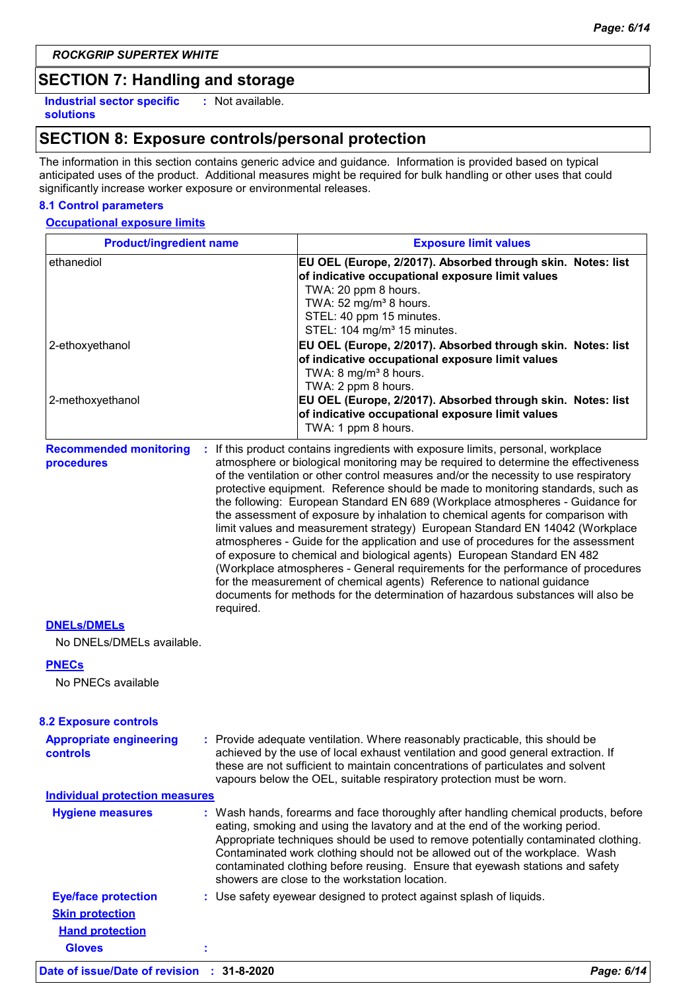## **SECTION 7: Handling and storage**

**Industrial sector specific : solutions** : Not available.

## **SECTION 8: Exposure controls/personal protection**

The information in this section contains generic advice and guidance. Information is provided based on typical anticipated uses of the product. Additional measures might be required for bulk handling or other uses that could significantly increase worker exposure or environmental releases.

#### **8.1 Control parameters**

#### **Occupational exposure limits**

| <b>Product/ingredient name</b>                  |           | <b>Exposure limit values</b>                                                                                                                                                                                                                                                                                                                                                                                                                                                                                                                                                                                                                                                                                                                                                                                                                                                                                                                                                                                          |  |  |
|-------------------------------------------------|-----------|-----------------------------------------------------------------------------------------------------------------------------------------------------------------------------------------------------------------------------------------------------------------------------------------------------------------------------------------------------------------------------------------------------------------------------------------------------------------------------------------------------------------------------------------------------------------------------------------------------------------------------------------------------------------------------------------------------------------------------------------------------------------------------------------------------------------------------------------------------------------------------------------------------------------------------------------------------------------------------------------------------------------------|--|--|
| ethanediol<br>2-ethoxyethanol                   |           | EU OEL (Europe, 2/2017). Absorbed through skin. Notes: list<br>of indicative occupational exposure limit values<br>TWA: 20 ppm 8 hours.<br>TWA: 52 mg/m <sup>3</sup> 8 hours.<br>STEL: 40 ppm 15 minutes.<br>STEL: 104 mg/m <sup>3</sup> 15 minutes.<br>EU OEL (Europe, 2/2017). Absorbed through skin. Notes: list<br>of indicative occupational exposure limit values<br>TWA: 8 mg/m <sup>3</sup> 8 hours.                                                                                                                                                                                                                                                                                                                                                                                                                                                                                                                                                                                                          |  |  |
| 2-methoxyethanol                                |           | TWA: 2 ppm 8 hours.<br>EU OEL (Europe, 2/2017). Absorbed through skin. Notes: list<br>of indicative occupational exposure limit values<br>TWA: 1 ppm 8 hours.                                                                                                                                                                                                                                                                                                                                                                                                                                                                                                                                                                                                                                                                                                                                                                                                                                                         |  |  |
| <b>Recommended monitoring</b><br>procedures     | required. | : If this product contains ingredients with exposure limits, personal, workplace<br>atmosphere or biological monitoring may be required to determine the effectiveness<br>of the ventilation or other control measures and/or the necessity to use respiratory<br>protective equipment. Reference should be made to monitoring standards, such as<br>the following: European Standard EN 689 (Workplace atmospheres - Guidance for<br>the assessment of exposure by inhalation to chemical agents for comparison with<br>limit values and measurement strategy) European Standard EN 14042 (Workplace<br>atmospheres - Guide for the application and use of procedures for the assessment<br>of exposure to chemical and biological agents) European Standard EN 482<br>(Workplace atmospheres - General requirements for the performance of procedures<br>for the measurement of chemical agents) Reference to national guidance<br>documents for methods for the determination of hazardous substances will also be |  |  |
| <b>DNELS/DMELS</b><br>No DNELs/DMELs available. |           |                                                                                                                                                                                                                                                                                                                                                                                                                                                                                                                                                                                                                                                                                                                                                                                                                                                                                                                                                                                                                       |  |  |
| <b>PNECs</b>                                    |           |                                                                                                                                                                                                                                                                                                                                                                                                                                                                                                                                                                                                                                                                                                                                                                                                                                                                                                                                                                                                                       |  |  |
| No PNECs available                              |           |                                                                                                                                                                                                                                                                                                                                                                                                                                                                                                                                                                                                                                                                                                                                                                                                                                                                                                                                                                                                                       |  |  |
| <b>8.2 Exposure controls</b>                    |           |                                                                                                                                                                                                                                                                                                                                                                                                                                                                                                                                                                                                                                                                                                                                                                                                                                                                                                                                                                                                                       |  |  |
| <b>Appropriate engineering</b><br>controls      |           | : Provide adequate ventilation. Where reasonably practicable, this should be<br>achieved by the use of local exhaust ventilation and good general extraction. If<br>these are not sufficient to maintain concentrations of particulates and solvent<br>vapours below the OEL, suitable respiratory protection must be worn.                                                                                                                                                                                                                                                                                                                                                                                                                                                                                                                                                                                                                                                                                           |  |  |
| <b>Individual protection measures</b>           |           |                                                                                                                                                                                                                                                                                                                                                                                                                                                                                                                                                                                                                                                                                                                                                                                                                                                                                                                                                                                                                       |  |  |
| <b>Hygiene measures</b>                         |           | : Wash hands, forearms and face thoroughly after handling chemical products, before<br>eating, smoking and using the lavatory and at the end of the working period.<br>Appropriate techniques should be used to remove potentially contaminated clothing.<br>Contaminated work clothing should not be allowed out of the workplace. Wash<br>contaminated clothing before reusing. Ensure that eyewash stations and safety<br>showers are close to the workstation location.                                                                                                                                                                                                                                                                                                                                                                                                                                                                                                                                           |  |  |
| <b>Eye/face protection</b>                      |           | : Use safety eyewear designed to protect against splash of liquids.                                                                                                                                                                                                                                                                                                                                                                                                                                                                                                                                                                                                                                                                                                                                                                                                                                                                                                                                                   |  |  |
| <b>Skin protection</b>                          |           |                                                                                                                                                                                                                                                                                                                                                                                                                                                                                                                                                                                                                                                                                                                                                                                                                                                                                                                                                                                                                       |  |  |
| <b>Hand protection</b>                          |           |                                                                                                                                                                                                                                                                                                                                                                                                                                                                                                                                                                                                                                                                                                                                                                                                                                                                                                                                                                                                                       |  |  |

**Gloves :**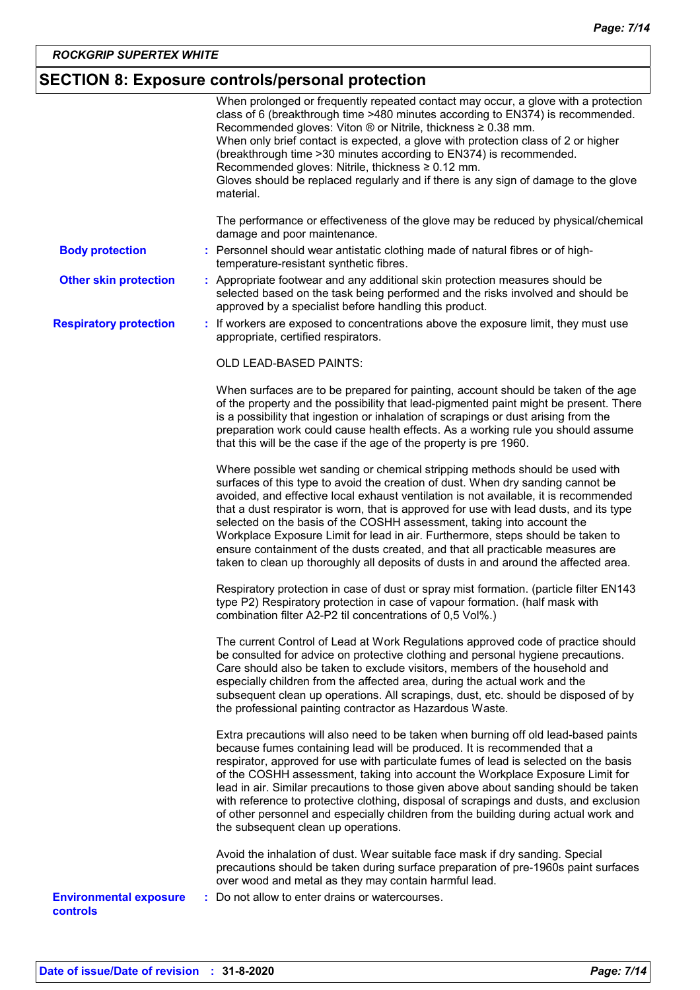## **SECTION 8: Exposure controls/personal protection**

| The performance or effectiveness of the glove may be reduced by physical/chemical<br>damage and poor maintenance.<br>: Personnel should wear antistatic clothing made of natural fibres or of high-<br><b>Body protection</b><br>temperature-resistant synthetic fibres.<br><b>Other skin protection</b><br>: Appropriate footwear and any additional skin protection measures should be<br>selected based on the task being performed and the risks involved and should be<br>approved by a specialist before handling this product.<br><b>Respiratory protection</b><br>: If workers are exposed to concentrations above the exposure limit, they must use<br>appropriate, certified respirators.<br>OLD LEAD-BASED PAINTS:<br>When surfaces are to be prepared for painting, account should be taken of the age<br>of the property and the possibility that lead-pigmented paint might be present. There<br>is a possibility that ingestion or inhalation of scrapings or dust arising from the<br>preparation work could cause health effects. As a working rule you should assume<br>that this will be the case if the age of the property is pre 1960.<br>Where possible wet sanding or chemical stripping methods should be used with<br>surfaces of this type to avoid the creation of dust. When dry sanding cannot be<br>avoided, and effective local exhaust ventilation is not available, it is recommended<br>that a dust respirator is worn, that is approved for use with lead dusts, and its type<br>selected on the basis of the COSHH assessment, taking into account the<br>Workplace Exposure Limit for lead in air. Furthermore, steps should be taken to<br>ensure containment of the dusts created, and that all practicable measures are<br>taken to clean up thoroughly all deposits of dusts in and around the affected area.<br>Respiratory protection in case of dust or spray mist formation. (particle filter EN143<br>type P2) Respiratory protection in case of vapour formation. (half mask with<br>combination filter A2-P2 til concentrations of 0,5 Vol%.)<br>The current Control of Lead at Work Regulations approved code of practice should<br>be consulted for advice on protective clothing and personal hygiene precautions.<br>Care should also be taken to exclude visitors, members of the household and<br>especially children from the affected area, during the actual work and the<br>subsequent clean up operations. All scrapings, dust, etc. should be disposed of by<br>the professional painting contractor as Hazardous Waste.<br>Extra precautions will also need to be taken when burning off old lead-based paints<br>because fumes containing lead will be produced. It is recommended that a<br>respirator, approved for use with particulate fumes of lead is selected on the basis<br>of the COSHH assessment, taking into account the Workplace Exposure Limit for<br>lead in air. Similar precautions to those given above about sanding should be taken<br>with reference to protective clothing, disposal of scrapings and dusts, and exclusion<br>of other personnel and especially children from the building during actual work and<br>the subsequent clean up operations.<br>Avoid the inhalation of dust. Wear suitable face mask if dry sanding. Special<br>precautions should be taken during surface preparation of pre-1960s paint surfaces<br>over wood and metal as they may contain harmful lead.<br>Do not allow to enter drains or watercourses.<br><b>Environmental exposure</b><br>controls |  | When prolonged or frequently repeated contact may occur, a glove with a protection<br>class of 6 (breakthrough time >480 minutes according to EN374) is recommended.<br>Recommended gloves: Viton ® or Nitrile, thickness ≥ 0.38 mm.<br>When only brief contact is expected, a glove with protection class of 2 or higher<br>(breakthrough time > 30 minutes according to EN374) is recommended.<br>Recommended gloves: Nitrile, thickness $\geq 0.12$ mm.<br>Gloves should be replaced regularly and if there is any sign of damage to the glove<br>material. |
|-------------------------------------------------------------------------------------------------------------------------------------------------------------------------------------------------------------------------------------------------------------------------------------------------------------------------------------------------------------------------------------------------------------------------------------------------------------------------------------------------------------------------------------------------------------------------------------------------------------------------------------------------------------------------------------------------------------------------------------------------------------------------------------------------------------------------------------------------------------------------------------------------------------------------------------------------------------------------------------------------------------------------------------------------------------------------------------------------------------------------------------------------------------------------------------------------------------------------------------------------------------------------------------------------------------------------------------------------------------------------------------------------------------------------------------------------------------------------------------------------------------------------------------------------------------------------------------------------------------------------------------------------------------------------------------------------------------------------------------------------------------------------------------------------------------------------------------------------------------------------------------------------------------------------------------------------------------------------------------------------------------------------------------------------------------------------------------------------------------------------------------------------------------------------------------------------------------------------------------------------------------------------------------------------------------------------------------------------------------------------------------------------------------------------------------------------------------------------------------------------------------------------------------------------------------------------------------------------------------------------------------------------------------------------------------------------------------------------------------------------------------------------------------------------------------------------------------------------------------------------------------------------------------------------------------------------------------------------------------------------------------------------------------------------------------------------------------------------------------------------------------------------------------------------------------------------------------------------------------------------------------------------------------------------------------------------------------------------------------------------------------------------------------------------------------------------------------------------------------------------------------------------------------------------------------------------------|--|----------------------------------------------------------------------------------------------------------------------------------------------------------------------------------------------------------------------------------------------------------------------------------------------------------------------------------------------------------------------------------------------------------------------------------------------------------------------------------------------------------------------------------------------------------------|
|                                                                                                                                                                                                                                                                                                                                                                                                                                                                                                                                                                                                                                                                                                                                                                                                                                                                                                                                                                                                                                                                                                                                                                                                                                                                                                                                                                                                                                                                                                                                                                                                                                                                                                                                                                                                                                                                                                                                                                                                                                                                                                                                                                                                                                                                                                                                                                                                                                                                                                                                                                                                                                                                                                                                                                                                                                                                                                                                                                                                                                                                                                                                                                                                                                                                                                                                                                                                                                                                                                                                                                               |  |                                                                                                                                                                                                                                                                                                                                                                                                                                                                                                                                                                |
|                                                                                                                                                                                                                                                                                                                                                                                                                                                                                                                                                                                                                                                                                                                                                                                                                                                                                                                                                                                                                                                                                                                                                                                                                                                                                                                                                                                                                                                                                                                                                                                                                                                                                                                                                                                                                                                                                                                                                                                                                                                                                                                                                                                                                                                                                                                                                                                                                                                                                                                                                                                                                                                                                                                                                                                                                                                                                                                                                                                                                                                                                                                                                                                                                                                                                                                                                                                                                                                                                                                                                                               |  |                                                                                                                                                                                                                                                                                                                                                                                                                                                                                                                                                                |
|                                                                                                                                                                                                                                                                                                                                                                                                                                                                                                                                                                                                                                                                                                                                                                                                                                                                                                                                                                                                                                                                                                                                                                                                                                                                                                                                                                                                                                                                                                                                                                                                                                                                                                                                                                                                                                                                                                                                                                                                                                                                                                                                                                                                                                                                                                                                                                                                                                                                                                                                                                                                                                                                                                                                                                                                                                                                                                                                                                                                                                                                                                                                                                                                                                                                                                                                                                                                                                                                                                                                                                               |  |                                                                                                                                                                                                                                                                                                                                                                                                                                                                                                                                                                |
|                                                                                                                                                                                                                                                                                                                                                                                                                                                                                                                                                                                                                                                                                                                                                                                                                                                                                                                                                                                                                                                                                                                                                                                                                                                                                                                                                                                                                                                                                                                                                                                                                                                                                                                                                                                                                                                                                                                                                                                                                                                                                                                                                                                                                                                                                                                                                                                                                                                                                                                                                                                                                                                                                                                                                                                                                                                                                                                                                                                                                                                                                                                                                                                                                                                                                                                                                                                                                                                                                                                                                                               |  |                                                                                                                                                                                                                                                                                                                                                                                                                                                                                                                                                                |
|                                                                                                                                                                                                                                                                                                                                                                                                                                                                                                                                                                                                                                                                                                                                                                                                                                                                                                                                                                                                                                                                                                                                                                                                                                                                                                                                                                                                                                                                                                                                                                                                                                                                                                                                                                                                                                                                                                                                                                                                                                                                                                                                                                                                                                                                                                                                                                                                                                                                                                                                                                                                                                                                                                                                                                                                                                                                                                                                                                                                                                                                                                                                                                                                                                                                                                                                                                                                                                                                                                                                                                               |  |                                                                                                                                                                                                                                                                                                                                                                                                                                                                                                                                                                |
|                                                                                                                                                                                                                                                                                                                                                                                                                                                                                                                                                                                                                                                                                                                                                                                                                                                                                                                                                                                                                                                                                                                                                                                                                                                                                                                                                                                                                                                                                                                                                                                                                                                                                                                                                                                                                                                                                                                                                                                                                                                                                                                                                                                                                                                                                                                                                                                                                                                                                                                                                                                                                                                                                                                                                                                                                                                                                                                                                                                                                                                                                                                                                                                                                                                                                                                                                                                                                                                                                                                                                                               |  |                                                                                                                                                                                                                                                                                                                                                                                                                                                                                                                                                                |
|                                                                                                                                                                                                                                                                                                                                                                                                                                                                                                                                                                                                                                                                                                                                                                                                                                                                                                                                                                                                                                                                                                                                                                                                                                                                                                                                                                                                                                                                                                                                                                                                                                                                                                                                                                                                                                                                                                                                                                                                                                                                                                                                                                                                                                                                                                                                                                                                                                                                                                                                                                                                                                                                                                                                                                                                                                                                                                                                                                                                                                                                                                                                                                                                                                                                                                                                                                                                                                                                                                                                                                               |  |                                                                                                                                                                                                                                                                                                                                                                                                                                                                                                                                                                |
|                                                                                                                                                                                                                                                                                                                                                                                                                                                                                                                                                                                                                                                                                                                                                                                                                                                                                                                                                                                                                                                                                                                                                                                                                                                                                                                                                                                                                                                                                                                                                                                                                                                                                                                                                                                                                                                                                                                                                                                                                                                                                                                                                                                                                                                                                                                                                                                                                                                                                                                                                                                                                                                                                                                                                                                                                                                                                                                                                                                                                                                                                                                                                                                                                                                                                                                                                                                                                                                                                                                                                                               |  |                                                                                                                                                                                                                                                                                                                                                                                                                                                                                                                                                                |
|                                                                                                                                                                                                                                                                                                                                                                                                                                                                                                                                                                                                                                                                                                                                                                                                                                                                                                                                                                                                                                                                                                                                                                                                                                                                                                                                                                                                                                                                                                                                                                                                                                                                                                                                                                                                                                                                                                                                                                                                                                                                                                                                                                                                                                                                                                                                                                                                                                                                                                                                                                                                                                                                                                                                                                                                                                                                                                                                                                                                                                                                                                                                                                                                                                                                                                                                                                                                                                                                                                                                                                               |  |                                                                                                                                                                                                                                                                                                                                                                                                                                                                                                                                                                |
|                                                                                                                                                                                                                                                                                                                                                                                                                                                                                                                                                                                                                                                                                                                                                                                                                                                                                                                                                                                                                                                                                                                                                                                                                                                                                                                                                                                                                                                                                                                                                                                                                                                                                                                                                                                                                                                                                                                                                                                                                                                                                                                                                                                                                                                                                                                                                                                                                                                                                                                                                                                                                                                                                                                                                                                                                                                                                                                                                                                                                                                                                                                                                                                                                                                                                                                                                                                                                                                                                                                                                                               |  |                                                                                                                                                                                                                                                                                                                                                                                                                                                                                                                                                                |
|                                                                                                                                                                                                                                                                                                                                                                                                                                                                                                                                                                                                                                                                                                                                                                                                                                                                                                                                                                                                                                                                                                                                                                                                                                                                                                                                                                                                                                                                                                                                                                                                                                                                                                                                                                                                                                                                                                                                                                                                                                                                                                                                                                                                                                                                                                                                                                                                                                                                                                                                                                                                                                                                                                                                                                                                                                                                                                                                                                                                                                                                                                                                                                                                                                                                                                                                                                                                                                                                                                                                                                               |  |                                                                                                                                                                                                                                                                                                                                                                                                                                                                                                                                                                |
|                                                                                                                                                                                                                                                                                                                                                                                                                                                                                                                                                                                                                                                                                                                                                                                                                                                                                                                                                                                                                                                                                                                                                                                                                                                                                                                                                                                                                                                                                                                                                                                                                                                                                                                                                                                                                                                                                                                                                                                                                                                                                                                                                                                                                                                                                                                                                                                                                                                                                                                                                                                                                                                                                                                                                                                                                                                                                                                                                                                                                                                                                                                                                                                                                                                                                                                                                                                                                                                                                                                                                                               |  |                                                                                                                                                                                                                                                                                                                                                                                                                                                                                                                                                                |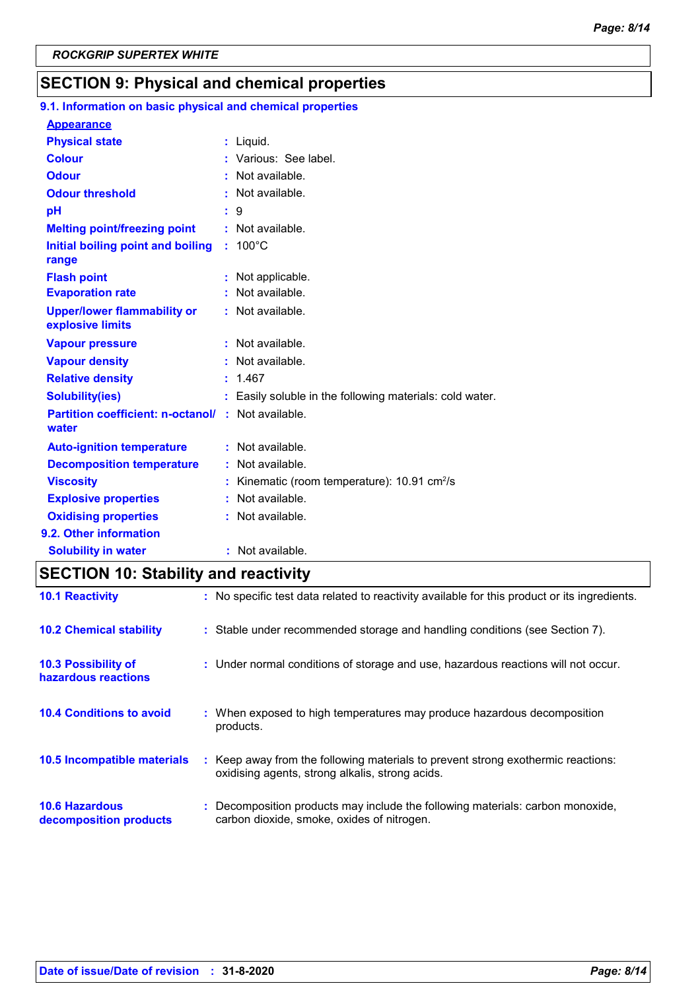## **SECTION 9: Physical and chemical properties**

| 9.1. Information on basic physical and chemical properties        |                                                               |
|-------------------------------------------------------------------|---------------------------------------------------------------|
| <b>Appearance</b>                                                 |                                                               |
| <b>Physical state</b>                                             | $:$ Liquid.                                                   |
| <b>Colour</b>                                                     | : Various: See label.                                         |
| <b>Odour</b>                                                      | Not available.                                                |
| <b>Odour threshold</b>                                            | Not available.                                                |
| pH                                                                | 9                                                             |
| <b>Melting point/freezing point</b>                               | : Not available.                                              |
| Initial boiling point and boiling<br>range                        | $: 100^{\circ}$ C                                             |
| <b>Flash point</b>                                                | Not applicable.                                               |
| <b>Evaporation rate</b>                                           | : Not available.                                              |
| <b>Upper/lower flammability or</b><br>explosive limits            | : Not available.                                              |
| <b>Vapour pressure</b>                                            | Not available.                                                |
| <b>Vapour density</b>                                             | Not available.                                                |
| <b>Relative density</b>                                           | : 1.467                                                       |
| <b>Solubility(ies)</b>                                            | : Easily soluble in the following materials: cold water.      |
| <b>Partition coefficient: n-octanol/: Not available.</b><br>water |                                                               |
| <b>Auto-ignition temperature</b>                                  | : Not available.                                              |
| <b>Decomposition temperature</b>                                  | : Not available.                                              |
| <b>Viscosity</b>                                                  | : Kinematic (room temperature): $10.91 \text{ cm}^2/\text{s}$ |
| <b>Explosive properties</b>                                       | Not available.                                                |
| <b>Oxidising properties</b>                                       | : Not available.                                              |
| 9.2. Other information                                            |                                                               |
| <b>Solubility in water</b>                                        | : Not available.                                              |

## **SECTION 10: Stability and reactivity**

| <b>10.1 Reactivity</b>                            | : No specific test data related to reactivity available for this product or its ingredients.                                        |
|---------------------------------------------------|-------------------------------------------------------------------------------------------------------------------------------------|
| <b>10.2 Chemical stability</b>                    | : Stable under recommended storage and handling conditions (see Section 7).                                                         |
| <b>10.3 Possibility of</b><br>hazardous reactions | : Under normal conditions of storage and use, hazardous reactions will not occur.                                                   |
| <b>10.4 Conditions to avoid</b>                   | : When exposed to high temperatures may produce hazardous decomposition<br>products.                                                |
| <b>10.5 Incompatible materials</b>                | : Keep away from the following materials to prevent strong exothermic reactions:<br>oxidising agents, strong alkalis, strong acids. |
| <b>10.6 Hazardous</b><br>decomposition products   | : Decomposition products may include the following materials: carbon monoxide,<br>carbon dioxide, smoke, oxides of nitrogen.        |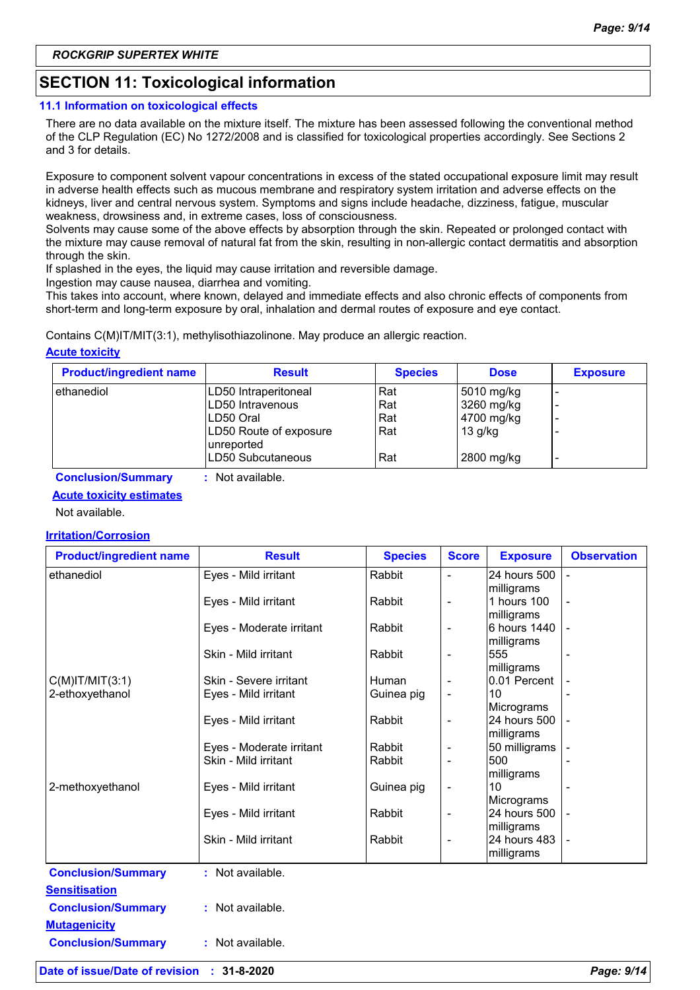## **SECTION 11: Toxicological information**

#### **11.1 Information on toxicological effects**

There are no data available on the mixture itself. The mixture has been assessed following the conventional method of the CLP Regulation (EC) No 1272/2008 and is classified for toxicological properties accordingly. See Sections 2 and 3 for details.

Exposure to component solvent vapour concentrations in excess of the stated occupational exposure limit may result in adverse health effects such as mucous membrane and respiratory system irritation and adverse effects on the kidneys, liver and central nervous system. Symptoms and signs include headache, dizziness, fatigue, muscular weakness, drowsiness and, in extreme cases, loss of consciousness.

Solvents may cause some of the above effects by absorption through the skin. Repeated or prolonged contact with the mixture may cause removal of natural fat from the skin, resulting in non-allergic contact dermatitis and absorption through the skin.

If splashed in the eyes, the liquid may cause irritation and reversible damage.

Ingestion may cause nausea, diarrhea and vomiting.

This takes into account, where known, delayed and immediate effects and also chronic effects of components from short-term and long-term exposure by oral, inhalation and dermal routes of exposure and eye contact.

Contains C(M)IT/MIT(3:1), methylisothiazolinone. May produce an allergic reaction.

#### **Acute toxicity**

| <b>Product/ingredient name</b> | <b>Result</b>                        | <b>Species</b> | <b>Dose</b> | <b>Exposure</b> |
|--------------------------------|--------------------------------------|----------------|-------------|-----------------|
| ethanediol                     | LD50 Intraperitoneal                 | Rat            | 5010 mg/kg  |                 |
|                                | ILD50 Intravenous                    | Rat            | 3260 mg/kg  | -               |
|                                | ILD50 Oral                           | Rat            | 4700 mg/kg  | -               |
|                                | LD50 Route of exposure<br>unreported | Rat            | $13$ g/kg   |                 |
|                                | ILD50 Subcutaneous                   | Rat            | 2800 mg/kg  |                 |

**Conclusion/Summary :** Not available.

#### **Acute toxicity estimates**

Not available.

#### **Irritation/Corrosion**

| <b>Product/ingredient name</b> | <b>Result</b>            | <b>Species</b> | <b>Score</b>             | <b>Exposure</b>  | <b>Observation</b> |
|--------------------------------|--------------------------|----------------|--------------------------|------------------|--------------------|
| ethanediol                     | Eyes - Mild irritant     | Rabbit         | $\overline{\phantom{a}}$ | 24 hours 500     |                    |
|                                |                          |                |                          | milligrams       |                    |
|                                | Eyes - Mild irritant     | Rabbit         | $\overline{\phantom{a}}$ | 1 hours 100      |                    |
|                                |                          |                |                          | milligrams       |                    |
|                                | Eyes - Moderate irritant | Rabbit         | $\overline{\phantom{a}}$ | 6 hours 1440     |                    |
|                                |                          |                |                          | milligrams       |                    |
|                                | Skin - Mild irritant     | Rabbit         | $\overline{\phantom{a}}$ | 555              |                    |
|                                |                          |                |                          | milligrams       |                    |
| $C(M)$ IT/MIT $(3:1)$          | Skin - Severe irritant   | Human          |                          | 0.01 Percent     |                    |
| 2-ethoxyethanol                | Eyes - Mild irritant     | Guinea pig     | $\overline{\phantom{a}}$ | 10               |                    |
|                                |                          |                |                          | Micrograms       |                    |
|                                | Eyes - Mild irritant     | Rabbit         | $\overline{\phantom{a}}$ | 24 hours 500     |                    |
|                                |                          |                |                          | milligrams       |                    |
|                                | Eyes - Moderate irritant | Rabbit         | $\overline{\phantom{a}}$ | 50 milligrams    |                    |
|                                | Skin - Mild irritant     | Rabbit         |                          | 500              |                    |
| 2-methoxyethanol               | Eyes - Mild irritant     | Guinea pig     | $\overline{\phantom{a}}$ | milligrams<br>10 |                    |
|                                |                          |                |                          | Micrograms       |                    |
|                                | Eyes - Mild irritant     | Rabbit         | $\overline{\phantom{a}}$ | 24 hours 500     |                    |
|                                |                          |                |                          | milligrams       |                    |
|                                | Skin - Mild irritant     | Rabbit         |                          | 24 hours 483     |                    |
|                                |                          |                |                          | milligrams       |                    |
|                                |                          |                |                          |                  |                    |
| <b>Conclusion/Summary</b>      | : Not available.         |                |                          |                  |                    |
| <b>Sensitisation</b>           |                          |                |                          |                  |                    |
| <b>Conclusion/Summary</b>      | : Not available.         |                |                          |                  |                    |
| <b>Mutagenicity</b>            |                          |                |                          |                  |                    |
| <b>Conclusion/Summary</b>      | : Not available.         |                |                          |                  |                    |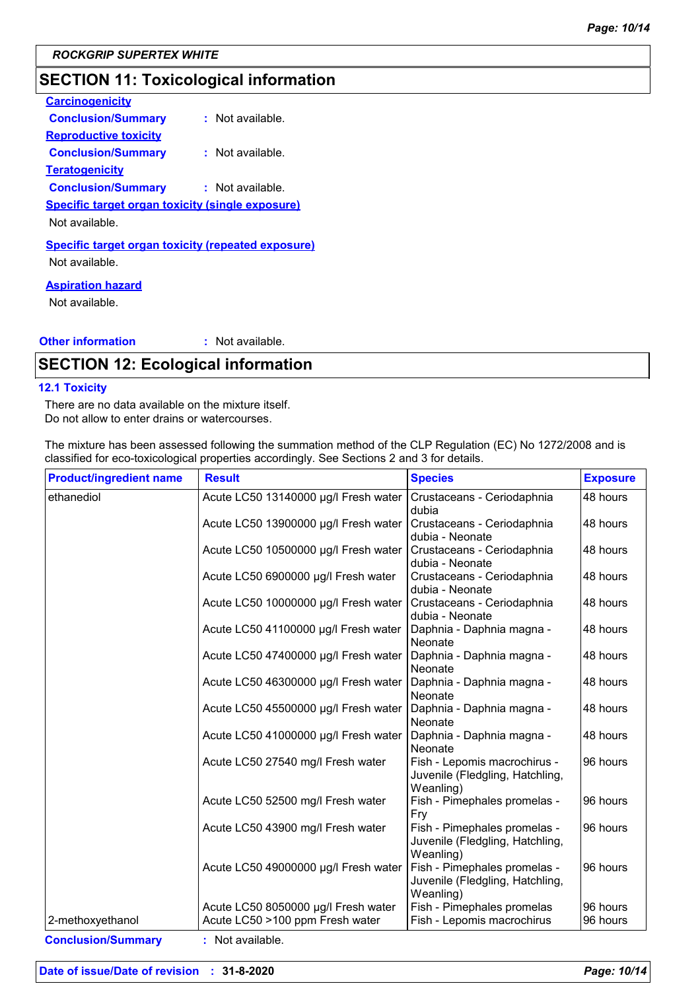## **SECTION 11: Toxicological information**

| <b>Carcinogenicity</b>                                    |                  |
|-----------------------------------------------------------|------------------|
| <b>Conclusion/Summary</b>                                 | : Not available. |
| <u>Reproductive toxicity</u>                              |                  |
| <b>Conclusion/Summary</b>                                 | : Not available. |
| <u>Teratogenicity</u>                                     |                  |
| <b>Conclusion/Summary</b>                                 | : Not available. |
| <b>Specific target organ toxicity (single exposure)</b>   |                  |
| Not available.                                            |                  |
| <b>Specific target organ toxicity (repeated exposure)</b> |                  |
| Not available.                                            |                  |
|                                                           |                  |

#### **Aspiration hazard**

Not available.

#### **Other information :** : Not available.

## **SECTION 12: Ecological information**

#### **12.1 Toxicity**

There are no data available on the mixture itself. Do not allow to enter drains or watercourses.

The mixture has been assessed following the summation method of the CLP Regulation (EC) No 1272/2008 and is classified for eco-toxicological properties accordingly. See Sections 2 and 3 for details.

| <b>Product/ingredient name</b> | <b>Result</b>                                                          | <b>Species</b>                                                               | <b>Exposure</b>      |
|--------------------------------|------------------------------------------------------------------------|------------------------------------------------------------------------------|----------------------|
| ethanediol                     | Acute LC50 13140000 µg/l Fresh water                                   | Crustaceans - Ceriodaphnia<br>dubia                                          | 48 hours             |
|                                | Acute LC50 13900000 µg/l Fresh water                                   | Crustaceans - Ceriodaphnia<br>dubia - Neonate                                | 48 hours             |
|                                | Acute LC50 10500000 µg/l Fresh water                                   | Crustaceans - Ceriodaphnia<br>dubia - Neonate                                | 48 hours             |
|                                | Acute LC50 6900000 µg/l Fresh water                                    | Crustaceans - Ceriodaphnia<br>dubia - Neonate                                | 48 hours             |
|                                | Acute LC50 10000000 µg/l Fresh water                                   | Crustaceans - Ceriodaphnia<br>dubia - Neonate                                | 48 hours             |
|                                | Acute LC50 41100000 µg/l Fresh water                                   | Daphnia - Daphnia magna -<br>Neonate                                         | 48 hours             |
|                                | Acute LC50 47400000 µg/l Fresh water                                   | Daphnia - Daphnia magna -<br>Neonate                                         | 48 hours             |
|                                | Acute LC50 46300000 µg/l Fresh water                                   | Daphnia - Daphnia magna -<br>Neonate                                         | 48 hours             |
|                                | Acute LC50 45500000 µg/l Fresh water                                   | Daphnia - Daphnia magna -<br>Neonate                                         | 48 hours             |
|                                | Acute LC50 41000000 µg/l Fresh water                                   | Daphnia - Daphnia magna -<br>Neonate                                         | 48 hours             |
|                                | Acute LC50 27540 mg/l Fresh water                                      | Fish - Lepomis macrochirus -<br>Juvenile (Fledgling, Hatchling,<br>Weanling) | 96 hours             |
|                                | Acute LC50 52500 mg/l Fresh water                                      | Fish - Pimephales promelas -<br>Fry                                          | 96 hours             |
|                                | Acute LC50 43900 mg/l Fresh water                                      | Fish - Pimephales promelas -<br>Juvenile (Fledgling, Hatchling,<br>Weanling) | 96 hours             |
|                                | Acute LC50 49000000 µg/l Fresh water                                   | Fish - Pimephales promelas -<br>Juvenile (Fledgling, Hatchling,<br>Weanling) | 96 hours             |
| 2-methoxyethanol               | Acute LC50 8050000 µg/l Fresh water<br>Acute LC50 >100 ppm Fresh water | Fish - Pimephales promelas<br>Fish - Lepomis macrochirus                     | 96 hours<br>96 hours |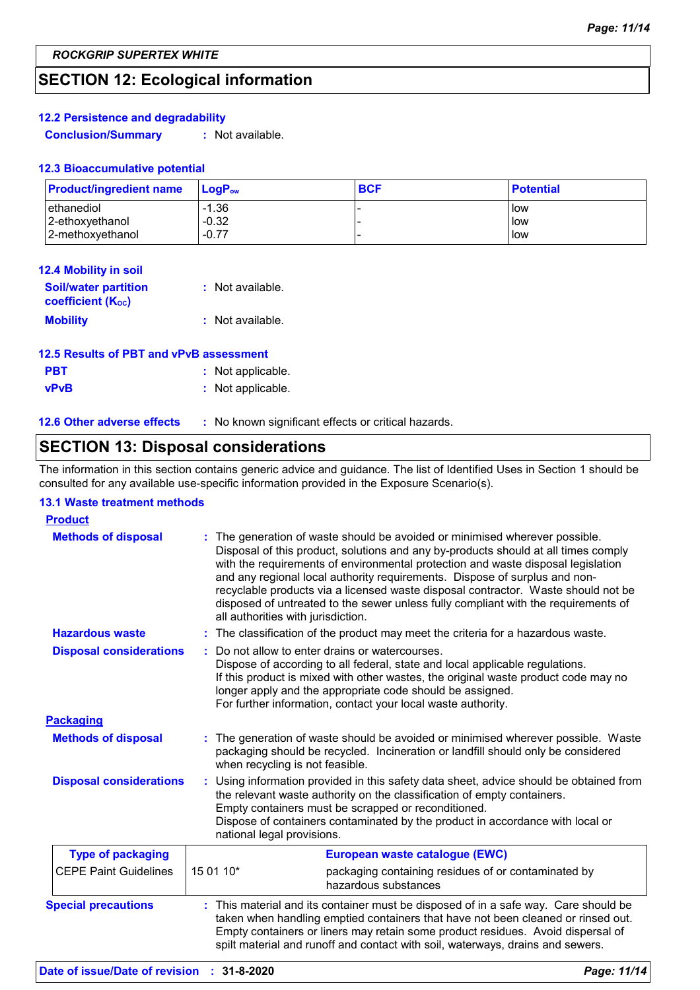## **SECTION 12: Ecological information**

#### **12.2 Persistence and degradability**

**Conclusion/Summary :** Not available.

#### **12.3 Bioaccumulative potential**

| <b>Product/ingredient name</b> | <b>LogP</b> <sub>ow</sub> | <b>BCF</b> | <b>Potential</b> |
|--------------------------------|---------------------------|------------|------------------|
| ethanediol                     | $-1.36$                   |            | <b>low</b>       |
| 2-ethoxyethanol                | $-0.32$                   |            | llow             |
| 2-methoxyethanol               | $-0.77$                   | -          | low              |

| <b>12.4 Mobility in soil</b>                            |                  |
|---------------------------------------------------------|------------------|
| <b>Soil/water partition</b><br><b>coefficient (Koc)</b> | : Not available. |
| <b>Mobility</b>                                         | : Not available. |

| 12.5 Results of PBT and vPvB assessment |                   |
|-----------------------------------------|-------------------|
| <b>PBT</b>                              | : Not applicable. |
| <b>vPvB</b>                             | : Not applicable. |

**12.6 Other adverse effects** : No known significant effects or critical hazards.

## **SECTION 13: Disposal considerations**

The information in this section contains generic advice and guidance. The list of Identified Uses in Section 1 should be consulted for any available use-specific information provided in the Exposure Scenario(s).

#### **13.1 Waste treatment methods**

| <b>Product</b>                 |                                                                                                                                                                                                                                                                                                                                                                                                                                                                                                                                                    |
|--------------------------------|----------------------------------------------------------------------------------------------------------------------------------------------------------------------------------------------------------------------------------------------------------------------------------------------------------------------------------------------------------------------------------------------------------------------------------------------------------------------------------------------------------------------------------------------------|
| <b>Methods of disposal</b>     | The generation of waste should be avoided or minimised wherever possible.<br>Disposal of this product, solutions and any by-products should at all times comply<br>with the requirements of environmental protection and waste disposal legislation<br>and any regional local authority requirements. Dispose of surplus and non-<br>recyclable products via a licensed waste disposal contractor. Waste should not be<br>disposed of untreated to the sewer unless fully compliant with the requirements of<br>all authorities with jurisdiction. |
| <b>Hazardous waste</b>         | The classification of the product may meet the criteria for a hazardous waste.<br>÷.                                                                                                                                                                                                                                                                                                                                                                                                                                                               |
| <b>Disposal considerations</b> | Do not allow to enter drains or watercourses.<br>Dispose of according to all federal, state and local applicable regulations.<br>If this product is mixed with other wastes, the original waste product code may no<br>longer apply and the appropriate code should be assigned.<br>For further information, contact your local waste authority.                                                                                                                                                                                                   |
| <b>Packaging</b>               |                                                                                                                                                                                                                                                                                                                                                                                                                                                                                                                                                    |
| <b>Methods of disposal</b>     | The generation of waste should be avoided or minimised wherever possible. Waste<br>packaging should be recycled. Incineration or landfill should only be considered<br>when recycling is not feasible.                                                                                                                                                                                                                                                                                                                                             |
| <b>Disposal considerations</b> | Using information provided in this safety data sheet, advice should be obtained from<br>the relevant waste authority on the classification of empty containers.<br>Empty containers must be scrapped or reconditioned.<br>Dispose of containers contaminated by the product in accordance with local or<br>national legal provisions.                                                                                                                                                                                                              |
| <b>Type of packaging</b>       | European waste catalogue (EWC)                                                                                                                                                                                                                                                                                                                                                                                                                                                                                                                     |
| <b>CEPE Paint Guidelines</b>   | 15 01 10*<br>packaging containing residues of or contaminated by<br>hazardous substances                                                                                                                                                                                                                                                                                                                                                                                                                                                           |
| <b>Special precautions</b>     | : This material and its container must be disposed of in a safe way. Care should be<br>taken when handling emptied containers that have not been cleaned or rinsed out.<br>Empty containers or liners may retain some product residues. Avoid dispersal of<br>spilt material and runoff and contact with soil, waterways, drains and sewers.                                                                                                                                                                                                       |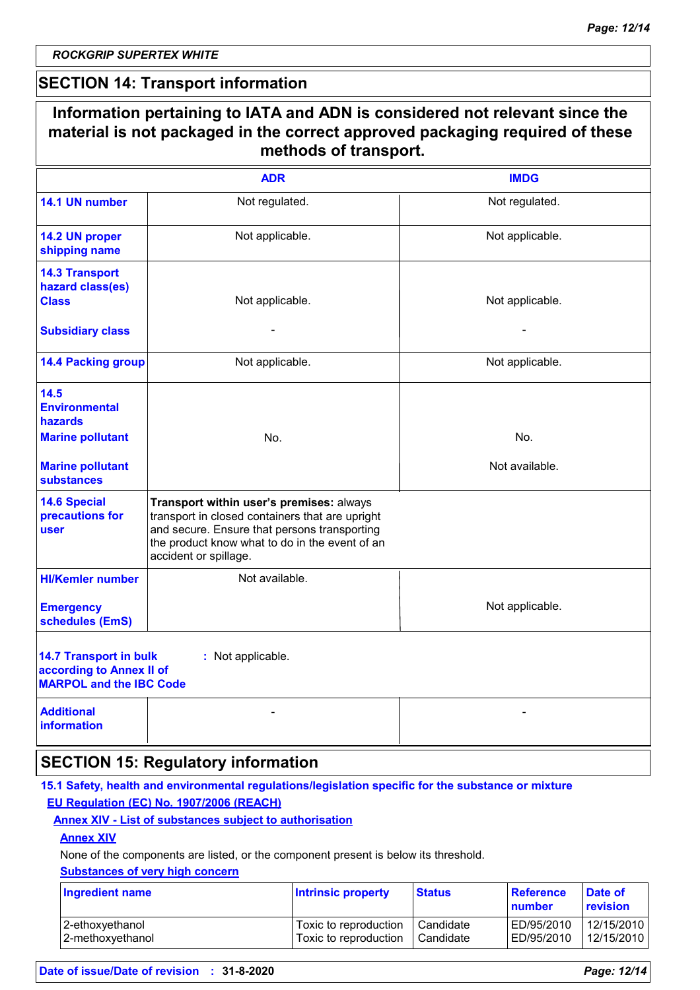$\Gamma$ 

### **SECTION 14: Transport information**

|                                                                                             | material is not packaged in the correct approved packaging required of these<br>methods of transport.                                                                                                                  |                 |  |  |  |
|---------------------------------------------------------------------------------------------|------------------------------------------------------------------------------------------------------------------------------------------------------------------------------------------------------------------------|-----------------|--|--|--|
|                                                                                             | <b>ADR</b>                                                                                                                                                                                                             | <b>IMDG</b>     |  |  |  |
| 14.1 UN number                                                                              | Not regulated.                                                                                                                                                                                                         | Not regulated.  |  |  |  |
| 14.2 UN proper<br>shipping name                                                             | Not applicable.                                                                                                                                                                                                        | Not applicable. |  |  |  |
| <b>14.3 Transport</b><br>hazard class(es)<br><b>Class</b>                                   | Not applicable.                                                                                                                                                                                                        | Not applicable. |  |  |  |
| <b>Subsidiary class</b>                                                                     |                                                                                                                                                                                                                        |                 |  |  |  |
| <b>14.4 Packing group</b>                                                                   | Not applicable.                                                                                                                                                                                                        | Not applicable. |  |  |  |
| 14.5<br><b>Environmental</b><br>hazards                                                     |                                                                                                                                                                                                                        |                 |  |  |  |
| <b>Marine pollutant</b>                                                                     | No.                                                                                                                                                                                                                    | No.             |  |  |  |
| <b>Marine pollutant</b><br><b>substances</b>                                                |                                                                                                                                                                                                                        | Not available.  |  |  |  |
| <b>14.6 Special</b><br>precautions for<br>user                                              | Transport within user's premises: always<br>transport in closed containers that are upright<br>and secure. Ensure that persons transporting<br>the product know what to do in the event of an<br>accident or spillage. |                 |  |  |  |
| <b>HI/Kemler number</b>                                                                     | Not available.                                                                                                                                                                                                         |                 |  |  |  |
| <b>Emergency</b><br>schedules (EmS)                                                         |                                                                                                                                                                                                                        | Not applicable. |  |  |  |
| <b>14.7 Transport in bulk</b><br>according to Annex II of<br><b>MARPOL and the IBC Code</b> | : Not applicable.                                                                                                                                                                                                      |                 |  |  |  |
| <b>Additional</b><br>information                                                            |                                                                                                                                                                                                                        |                 |  |  |  |

#### **15.1 Safety, health and environmental regulations/legislation specific for the substance or mixture EU Regulation (EC) No. 1907/2006 (REACH)**

#### **Annex XIV - List of substances subject to authorisation**

#### **Annex XIV**

None of the components are listed, or the component present is below its threshold.

#### **Substances of very high concern**

| <b>Ingredient name</b> | <b>Intrinsic property</b> | <b>Status</b> | Reference<br>number | <b>Date of</b><br><b>revision</b> |
|------------------------|---------------------------|---------------|---------------------|-----------------------------------|
| 2-ethoxyethanol        | Toxic to reproduction     | Candidate     | ED/95/2010          | 12/15/2010                        |
| 2-methoxyethanol       | Toxic to reproduction     | Candidate     | ED/95/2010          | 12/15/2010                        |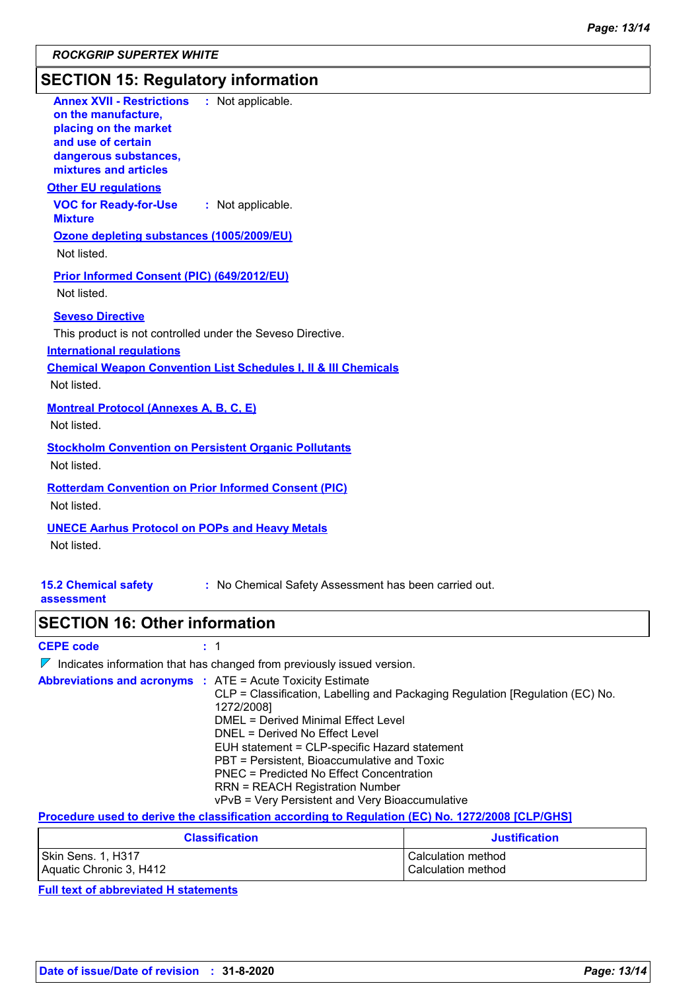## **SECTION 15: Regulatory information**

| <b>Annex XVII - Restrictions</b><br>: Not applicable.<br>on the manufacture,<br>placing on the market<br>and use of certain<br>dangerous substances,<br>mixtures and articles                                          |                                                                                                                                                                                                                                                                                                                                                                                                        |
|------------------------------------------------------------------------------------------------------------------------------------------------------------------------------------------------------------------------|--------------------------------------------------------------------------------------------------------------------------------------------------------------------------------------------------------------------------------------------------------------------------------------------------------------------------------------------------------------------------------------------------------|
| <b>Other EU regulations</b><br><b>VOC for Ready-for-Use</b><br>: Not applicable.<br><b>Mixture</b><br>Ozone depleting substances (1005/2009/EU)                                                                        |                                                                                                                                                                                                                                                                                                                                                                                                        |
| Not listed.                                                                                                                                                                                                            |                                                                                                                                                                                                                                                                                                                                                                                                        |
| Prior Informed Consent (PIC) (649/2012/EU)<br>Not listed.                                                                                                                                                              |                                                                                                                                                                                                                                                                                                                                                                                                        |
| <b>Seveso Directive</b><br>This product is not controlled under the Seveso Directive.<br><b>International regulations</b><br><b>Chemical Weapon Convention List Schedules I, II &amp; III Chemicals</b><br>Not listed. |                                                                                                                                                                                                                                                                                                                                                                                                        |
| <b>Montreal Protocol (Annexes A, B, C, E)</b><br>Not listed.                                                                                                                                                           |                                                                                                                                                                                                                                                                                                                                                                                                        |
| <b>Stockholm Convention on Persistent Organic Pollutants</b><br>Not listed.                                                                                                                                            |                                                                                                                                                                                                                                                                                                                                                                                                        |
| <b>Rotterdam Convention on Prior Informed Consent (PIC)</b><br>Not listed.                                                                                                                                             |                                                                                                                                                                                                                                                                                                                                                                                                        |
| <b>UNECE Aarhus Protocol on POPs and Heavy Metals</b><br>Not listed.                                                                                                                                                   |                                                                                                                                                                                                                                                                                                                                                                                                        |
| <b>15.2 Chemical safety</b><br>assessment                                                                                                                                                                              | : No Chemical Safety Assessment has been carried out.                                                                                                                                                                                                                                                                                                                                                  |
| <b>SECTION 16: Other information</b>                                                                                                                                                                                   |                                                                                                                                                                                                                                                                                                                                                                                                        |
| <b>CEPE code</b><br>: 1                                                                                                                                                                                                |                                                                                                                                                                                                                                                                                                                                                                                                        |
| $\nabla$ Indicates information that has changed from previously issued version.                                                                                                                                        |                                                                                                                                                                                                                                                                                                                                                                                                        |
| <b>Abbreviations and acronyms : ATE = Acute Toxicity Estimate</b><br>1272/2008]                                                                                                                                        | CLP = Classification, Labelling and Packaging Regulation [Regulation (EC) No.<br>DMEL = Derived Minimal Effect Level<br>DNEL = Derived No Effect Level<br>EUH statement = CLP-specific Hazard statement<br>PBT = Persistent, Bioaccumulative and Toxic<br><b>PNEC = Predicted No Effect Concentration</b><br><b>RRN = REACH Registration Number</b><br>vPvB = Very Persistent and Very Bioaccumulative |

**Procedure used to derive the classification according to Regulation (EC) No. 1272/2008 [CLP/GHS]**

| <b>Classification</b>   | <b>Justification</b> |
|-------------------------|----------------------|
| Skin Sens. 1, H317      | Calculation method   |
| Aquatic Chronic 3, H412 | Calculation method   |

**Full text of abbreviated H statements**